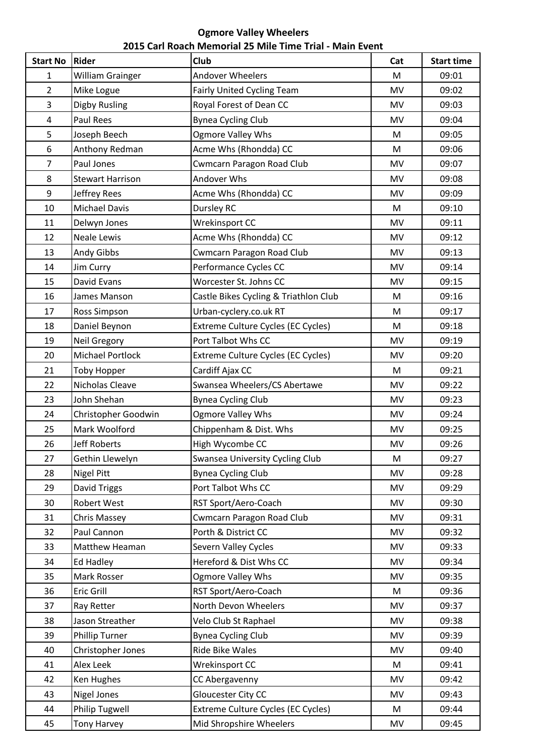## **Ogmore Valley Wheelers 2015 Carl Roach Memorial 25 Mile Time Trial - Main Event**

| <b>Start No</b>  | Rider                   | Club                                   | Cat       | <b>Start time</b> |
|------------------|-------------------------|----------------------------------------|-----------|-------------------|
| 1                | <b>William Grainger</b> | Andover Wheelers                       | M         | 09:01             |
| $\overline{2}$   | Mike Logue              | Fairly United Cycling Team             | <b>MV</b> | 09:02             |
| 3                | Digby Rusling           | Royal Forest of Dean CC                | MV        | 09:03             |
| $\pmb{4}$        | <b>Paul Rees</b>        | <b>Bynea Cycling Club</b>              | MV        | 09:04             |
| 5                | Joseph Beech            | <b>Ogmore Valley Whs</b>               | M         | 09:05             |
| $\boldsymbol{6}$ | Anthony Redman          | Acme Whs (Rhondda) CC                  | M         | 09:06             |
| $\overline{7}$   | Paul Jones              | <b>Cwmcarn Paragon Road Club</b>       | <b>MV</b> | 09:07             |
| 8                | <b>Stewart Harrison</b> | Andover Whs                            | <b>MV</b> | 09:08             |
| 9                | Jeffrey Rees            | Acme Whs (Rhondda) CC                  | <b>MV</b> | 09:09             |
| 10               | <b>Michael Davis</b>    | Dursley RC                             | M         | 09:10             |
| 11               | Delwyn Jones            | <b>Wrekinsport CC</b>                  | <b>MV</b> | 09:11             |
| 12               | <b>Neale Lewis</b>      | Acme Whs (Rhondda) CC                  | <b>MV</b> | 09:12             |
| 13               | Andy Gibbs              | Cwmcarn Paragon Road Club              | MV        | 09:13             |
| 14               | Jim Curry               | Performance Cycles CC                  | MV        | 09:14             |
| 15               | David Evans             | Worcester St. Johns CC                 | MV        | 09:15             |
| 16               | James Manson            | Castle Bikes Cycling & Triathlon Club  | M         | 09:16             |
| 17               | Ross Simpson            | Urban-cyclery.co.uk RT                 | M         | 09:17             |
| 18               | Daniel Beynon           | Extreme Culture Cycles (EC Cycles)     | M         | 09:18             |
| 19               | Neil Gregory            | Port Talbot Whs CC                     | <b>MV</b> | 09:19             |
| 20               | <b>Michael Portlock</b> | Extreme Culture Cycles (EC Cycles)     | <b>MV</b> | 09:20             |
| 21               | <b>Toby Hopper</b>      | Cardiff Ajax CC                        | M         | 09:21             |
| 22               | Nicholas Cleave         | Swansea Wheelers/CS Abertawe           | <b>MV</b> | 09:22             |
| 23               | John Shehan             | <b>Bynea Cycling Club</b>              | <b>MV</b> | 09:23             |
| 24               | Christopher Goodwin     | <b>Ogmore Valley Whs</b>               | <b>MV</b> | 09:24             |
| 25               | Mark Woolford           | Chippenham & Dist. Whs                 | MV        | 09:25             |
| 26               | <b>Jeff Roberts</b>     | High Wycombe CC                        | MV        | 09:26             |
| 27               | Gethin Llewelyn         | <b>Swansea University Cycling Club</b> | M         | 09:27             |
| 28               | <b>Nigel Pitt</b>       | <b>Bynea Cycling Club</b>              | <b>MV</b> | 09:28             |
| 29               | David Triggs            | Port Talbot Whs CC                     | <b>MV</b> | 09:29             |
| 30               | Robert West             | RST Sport/Aero-Coach                   | <b>MV</b> | 09:30             |
| 31               | Chris Massey            | <b>Cwmcarn Paragon Road Club</b>       | MV        | 09:31             |
| 32               | Paul Cannon             | Porth & District CC                    | <b>MV</b> | 09:32             |
| 33               | Matthew Heaman          | Severn Valley Cycles                   | <b>MV</b> | 09:33             |
| 34               | <b>Ed Hadley</b>        | Hereford & Dist Whs CC                 | <b>MV</b> | 09:34             |
| 35               | Mark Rosser             | Ogmore Valley Whs                      | <b>MV</b> | 09:35             |
| 36               | Eric Grill              | RST Sport/Aero-Coach                   | M         | 09:36             |
| 37               | Ray Retter              | North Devon Wheelers                   | <b>MV</b> | 09:37             |
| 38               | Jason Streather         | Velo Club St Raphael                   | <b>MV</b> | 09:38             |
| 39               | <b>Phillip Turner</b>   | <b>Bynea Cycling Club</b>              | <b>MV</b> | 09:39             |
| 40               | Christopher Jones       | Ride Bike Wales                        | MV        | 09:40             |
| 41               | Alex Leek               | Wrekinsport CC                         | M         | 09:41             |
| 42               | Ken Hughes              | CC Abergavenny                         | MV        | 09:42             |
| 43               | <b>Nigel Jones</b>      | Gloucester City CC                     | <b>MV</b> | 09:43             |
| 44               | Philip Tugwell          | Extreme Culture Cycles (EC Cycles)     | M         | 09:44             |
| 45               | <b>Tony Harvey</b>      | Mid Shropshire Wheelers                | MV        | 09:45             |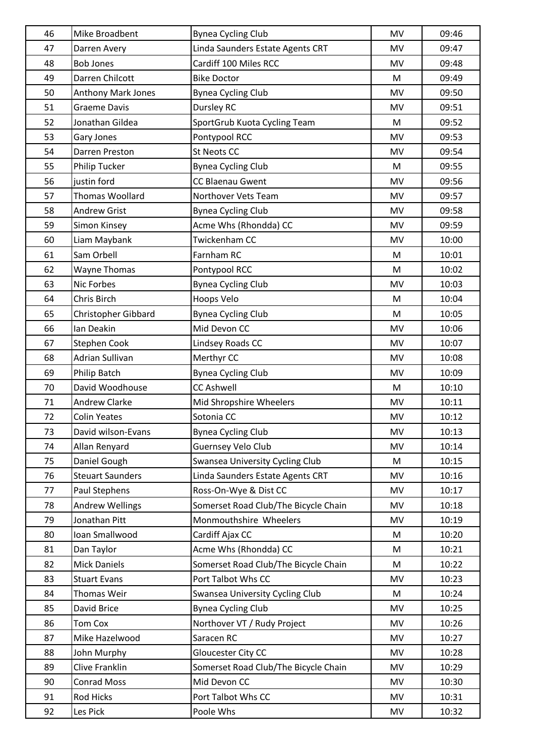| 46 | Mike Broadbent          | <b>Bynea Cycling Club</b>            | <b>MV</b> | 09:46 |
|----|-------------------------|--------------------------------------|-----------|-------|
| 47 | Darren Avery            | Linda Saunders Estate Agents CRT     | <b>MV</b> | 09:47 |
| 48 | <b>Bob Jones</b>        | Cardiff 100 Miles RCC                | <b>MV</b> | 09:48 |
| 49 | Darren Chilcott         | <b>Bike Doctor</b>                   | M         | 09:49 |
| 50 | Anthony Mark Jones      | <b>Bynea Cycling Club</b>            | MV        | 09:50 |
| 51 | <b>Graeme Davis</b>     | Dursley RC                           | MV        | 09:51 |
| 52 | Jonathan Gildea         | SportGrub Kuota Cycling Team         | M         | 09:52 |
| 53 | Gary Jones              | Pontypool RCC                        | <b>MV</b> | 09:53 |
| 54 | Darren Preston          | <b>St Neots CC</b>                   | MV        | 09:54 |
| 55 | Philip Tucker           | <b>Bynea Cycling Club</b>            | M         | 09:55 |
| 56 | justin ford             | CC Blaenau Gwent                     | MV        | 09:56 |
| 57 | Thomas Woollard         | Northover Vets Team                  | MV        | 09:57 |
| 58 | <b>Andrew Grist</b>     | <b>Bynea Cycling Club</b>            | <b>MV</b> | 09:58 |
| 59 | Simon Kinsey            | Acme Whs (Rhondda) CC                | MV        | 09:59 |
| 60 | Liam Maybank            | Twickenham CC                        | <b>MV</b> | 10:00 |
| 61 | Sam Orbell              | Farnham RC                           | M         | 10:01 |
| 62 | <b>Wayne Thomas</b>     | Pontypool RCC                        | M         | 10:02 |
| 63 | Nic Forbes              | <b>Bynea Cycling Club</b>            | MV        | 10:03 |
| 64 | Chris Birch             | Hoops Velo                           | M         | 10:04 |
| 65 | Christopher Gibbard     | <b>Bynea Cycling Club</b>            | M         | 10:05 |
| 66 | Ian Deakin              | Mid Devon CC                         | <b>MV</b> | 10:06 |
| 67 | <b>Stephen Cook</b>     | Lindsey Roads CC                     | MV        | 10:07 |
| 68 | <b>Adrian Sullivan</b>  | Merthyr CC                           | <b>MV</b> | 10:08 |
| 69 | Philip Batch            | <b>Bynea Cycling Club</b>            | MV        | 10:09 |
| 70 | David Woodhouse         | <b>CC Ashwell</b>                    | M         | 10:10 |
| 71 | <b>Andrew Clarke</b>    | Mid Shropshire Wheelers              | MV        | 10:11 |
| 72 | <b>Colin Yeates</b>     | Sotonia CC                           | MV        | 10:12 |
| 73 | David wilson-Evans      | <b>Bynea Cycling Club</b>            | MV        | 10:13 |
| 74 | Allan Renyard           | Guernsey Velo Club                   | MV        | 10:14 |
| 75 | Daniel Gough            | Swansea University Cycling Club      | M         | 10:15 |
| 76 | <b>Steuart Saunders</b> | Linda Saunders Estate Agents CRT     | <b>MV</b> | 10:16 |
| 77 | Paul Stephens           | Ross-On-Wye & Dist CC                | <b>MV</b> | 10:17 |
| 78 | <b>Andrew Wellings</b>  | Somerset Road Club/The Bicycle Chain | <b>MV</b> | 10:18 |
| 79 | Jonathan Pitt           | Monmouthshire Wheelers               | <b>MV</b> | 10:19 |
| 80 | Ioan Smallwood          | Cardiff Ajax CC                      | M         | 10:20 |
| 81 | Dan Taylor              | Acme Whs (Rhondda) CC                | M         | 10:21 |
| 82 | <b>Mick Daniels</b>     | Somerset Road Club/The Bicycle Chain | M         | 10:22 |
| 83 | <b>Stuart Evans</b>     | Port Talbot Whs CC                   | <b>MV</b> | 10:23 |
| 84 | Thomas Weir             | Swansea University Cycling Club      | M         | 10:24 |
| 85 | David Brice             | <b>Bynea Cycling Club</b>            | <b>MV</b> | 10:25 |
| 86 | <b>Tom Cox</b>          | Northover VT / Rudy Project          | <b>MV</b> | 10:26 |
| 87 | Mike Hazelwood          | Saracen RC                           | <b>MV</b> | 10:27 |
| 88 | John Murphy             | Gloucester City CC                   | <b>MV</b> | 10:28 |
| 89 | Clive Franklin          | Somerset Road Club/The Bicycle Chain | <b>MV</b> | 10:29 |
| 90 | <b>Conrad Moss</b>      | Mid Devon CC                         | <b>MV</b> | 10:30 |
| 91 | Rod Hicks               | Port Talbot Whs CC                   | <b>MV</b> | 10:31 |
| 92 | Les Pick                | Poole Whs                            | MV        | 10:32 |